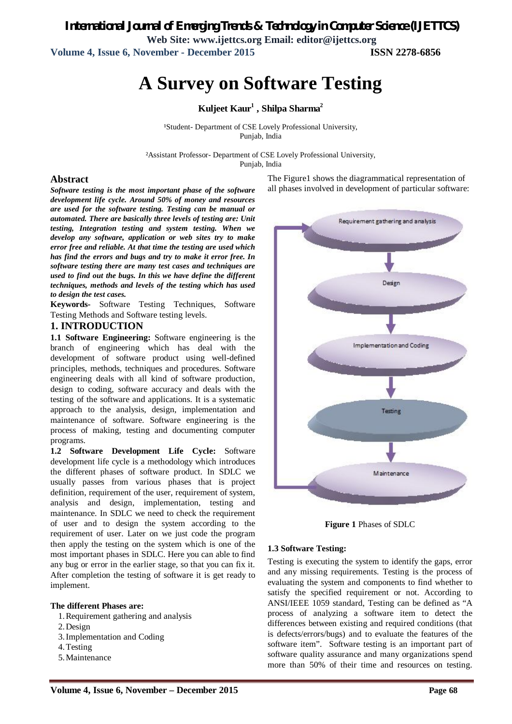*International Journal of Emerging Trends & Technology in Computer Science (IJETTCS)* **Web Site: www.ijettcs.org Email: editor@ijettcs.org Volume 4, Issue 6, November - December 2015 ISSN 2278-6856**

# **A Survey on Software Testing**

**Kuljeet Kaur<sup>1</sup> , Shilpa Sharma<sup>2</sup>**

<sup>1</sup>Student- Department of CSE Lovely Professional University, Punjab, India

²Assistant Professor- Department of CSE Lovely Professional University, Punjab, India

#### **Abstract**

*Software testing is the most important phase of the software development life cycle. Around 50% of money and resources are used for the software testing. Testing can be manual or automated. There are basically three levels of testing are: Unit testing, Integration testing and system testing. When we develop any software, application or web sites try to make error free and reliable. At that time the testing are used which has find the errors and bugs and try to make it error free. In software testing there are many test cases and techniques are used to find out the bugs. In this we have define the different techniques, methods and levels of the testing which has used to design the test cases.*

**Keywords-** Software Testing Techniques, Software Testing Methods and Software testing levels.

### **1. INTRODUCTION**

**1.1 Software Engineering:** Software engineering is the branch of engineering which has deal with the development of software product using well-defined principles, methods, techniques and procedures. Software engineering deals with all kind of software production, design to coding, software accuracy and deals with the testing of the software and applications. It is a systematic approach to the analysis, design, implementation and maintenance of software. Software engineering is the process of making, testing and documenting computer programs.

**1.2 Software Development Life Cycle:** Software development life cycle is a methodology which introduces the different phases of software product. In SDLC we usually passes from various phases that is project definition, requirement of the user, requirement of system, analysis and design, implementation, testing and maintenance. In SDLC we need to check the requirement of user and to design the system according to the requirement of user. Later on we just code the program then apply the testing on the system which is one of the most important phases in SDLC. Here you can able to find any bug or error in the earlier stage, so that you can fix it. After completion the testing of software it is get ready to implement.

#### **The different Phases are:**

- 1.Requirement gathering and analysis
- 2.Design
- 3.Implementation and Coding
- 4.Testing
- 5.Maintenance

The Figure1 shows the diagrammatical representation of all phases involved in development of particular software:



**Figure 1** Phases of SDLC

#### **1.3 Software Testing:**

Testing is executing the system to identify the gaps, error and any missing requirements. Testing is the process of evaluating the system and components to find whether to satisfy the specified requirement or not. According to ANSI/IEEE 1059 standard, Testing can be defined as "A process of analyzing a software item to detect the differences between existing and required conditions (that is defects/errors/bugs) and to evaluate the features of the software item". Software testing is an important part of software quality assurance and many organizations spend more than 50% of their time and resources on testing.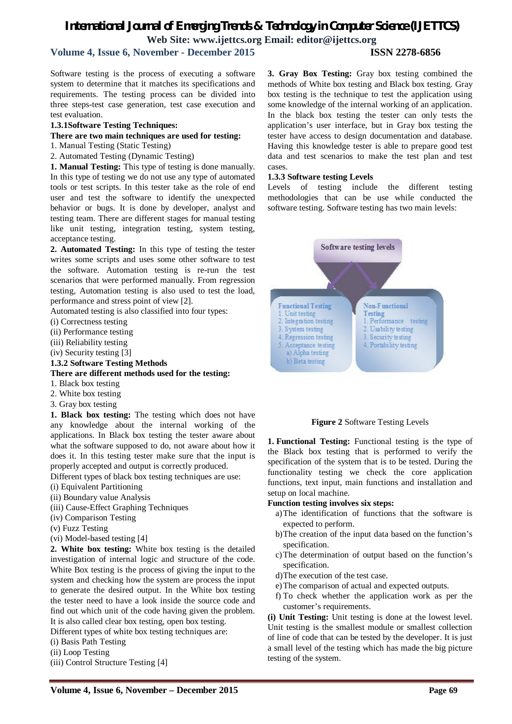## *International Journal of Emerging Trends & Technology in Computer Science (IJETTCS)* **Web Site: www.ijettcs.org Email: editor@ijettcs.org**

## **Volume 4, Issue 6, November - December 2015 ISSN 2278-6856**

Software testing is the process of executing a software system to determine that it matches its specifications and requirements. The testing process can be divided into three steps-test case generation, test case execution and test evaluation.

#### **1.3.1Software Testing Techniques:**

#### **There are two main techniques are used for testing:**

- 1. Manual Testing (Static Testing)
- 2. Automated Testing (Dynamic Testing)

**1. Manual Testing:** This type of testing is done manually. In this type of testing we do not use any type of automated tools or test scripts. In this tester take as the role of end user and test the software to identify the unexpected behavior or bugs. It is done by developer, analyst and testing team. There are different stages for manual testing like unit testing, integration testing, system testing, acceptance testing.

**2. Automated Testing:** In this type of testing the tester writes some scripts and uses some other software to test the software. Automation testing is re-run the test scenarios that were performed manually. From regression testing, Automation testing is also used to test the load, performance and stress point of view [2].

Automated testing is also classified into four types:

(i) Correctness testing

(ii) Performance testing

(iii) Reliability testing

(iv) Security testing [3]

**1.3.2 Software Testing Methods**

#### **There are different methods used for the testing:**

- 1. Black box testing
- 2. White box testing
- 3. Gray box testing

**1. Black box testing:** The testing which does not have any knowledge about the internal working of the applications. In Black box testing the tester aware about what the software supposed to do, not aware about how it does it. In this testing tester make sure that the input is properly accepted and output is correctly produced.

Different types of black box testing techniques are use:

- (i) Equivalent Partitioning
- (ii) Boundary value Analysis
- (iii) Cause-Effect Graphing Techniques
- (iv) Comparison Testing
- (v) Fuzz Testing
- (vi) Model-based testing [4]

**2. White box testing:** White box testing is the detailed investigation of internal logic and structure of the code. White Box testing is the process of giving the input to the system and checking how the system are process the input to generate the desired output. In the White box testing the tester need to have a look inside the source code and find out which unit of the code having given the problem. It is also called clear box testing, open box testing.

Different types of white box testing techniques are:

- (i) Basis Path Testing
- (ii) Loop Testing
- (iii) Control Structure Testing [4]

**3. Gray Box Testing:** Gray box testing combined the methods of White box testing and Black box testing. Gray box testing is the technique to test the application using some knowledge of the internal working of an application. In the black box testing the tester can only tests the application's user interface, but in Gray box testing the tester have access to design documentation and database. Having this knowledge tester is able to prepare good test data and test scenarios to make the test plan and test cases.

#### **1.3.3 Software testing Levels**

Levels of testing include the different testing methodologies that can be use while conducted the software testing. Software testing has two main levels:



#### **Figure 2** Software Testing Levels

**1. Functional Testing:** Functional testing is the type of the Black box testing that is performed to verify the specification of the system that is to be tested. During the functionality testing we check the core application functions, text input, main functions and installation and setup on local machine.

#### **Function testing involves six steps:**

- a)The identification of functions that the software is expected to perform.
- b)The creation of the input data based on the function's specification.
- c)The determination of output based on the function's specification.
- d)The execution of the test case.
- e)The comparison of actual and expected outputs.
- f) To check whether the application work as per the customer's requirements.

**(i) Unit Testing:** Unit testing is done at the lowest level. Unit testing is the smallest module or smallest collection of line of code that can be tested by the developer. It is just a small level of the testing which has made the big picture testing of the system.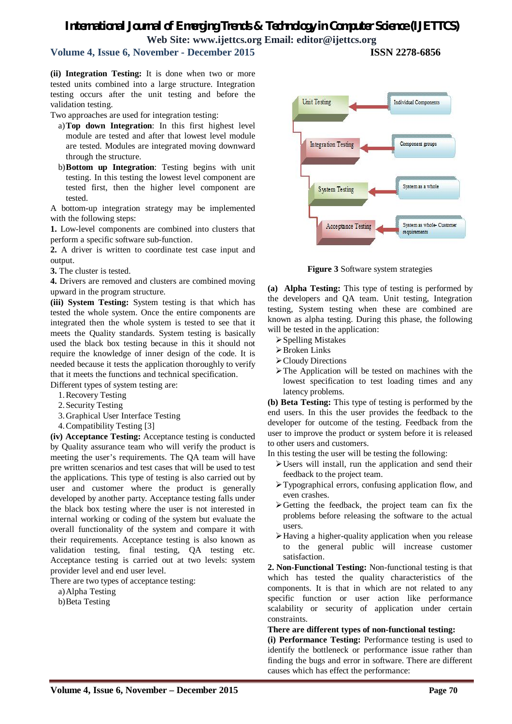## *International Journal of Emerging Trends & Technology in Computer Science (IJETTCS)* **Web Site: www.ijettcs.org Email: editor@ijettcs.org**

## **Volume 4, Issue 6, November - December 2015 ISSN 2278-6856**

**(ii) Integration Testing:** It is done when two or more tested units combined into a large structure. Integration testing occurs after the unit testing and before the validation testing.

Two approaches are used for integration testing:

- a)**Top down Integration**: In this first highest level module are tested and after that lowest level module are tested. Modules are integrated moving downward through the structure.
- b)**Bottom up Integration**: Testing begins with unit testing. In this testing the lowest level component are tested first, then the higher level component are tested.

A bottom-up integration strategy may be implemented with the following steps:

**1.** Low-level components are combined into clusters that perform a specific software sub-function.

**2.** A driver is written to coordinate test case input and output.

**3.** The cluster is tested.

**4.** Drivers are removed and clusters are combined moving upward in the program structure.

**(iii) System Testing:** System testing is that which has tested the whole system. Once the entire components are integrated then the whole system is tested to see that it meets the Quality standards. System testing is basically used the black box testing because in this it should not require the knowledge of inner design of the code. It is needed because it tests the application thoroughly to verify that it meets the functions and technical specification.

Different types of system testing are:

- 1.Recovery Testing
- 2.Security Testing
- 3.Graphical User Interface Testing
- 4.Compatibility Testing [3]

**(iv) Acceptance Testing:** Acceptance testing is conducted by Quality assurance team who will verify the product is meeting the user's requirements. The QA team will have pre written scenarios and test cases that will be used to test the applications. This type of testing is also carried out by user and customer where the product is generally developed by another party. Acceptance testing falls under the black box testing where the user is not interested in internal working or coding of the system but evaluate the overall functionality of the system and compare it with their requirements. Acceptance testing is also known as validation testing, final testing, QA testing etc. Acceptance testing is carried out at two levels: system provider level and end user level.

There are two types of acceptance testing:

a)Alpha Testing b)Beta Testing



**Figure 3** Software system strategies

**(a) Alpha Testing:** This type of testing is performed by the developers and QA team. Unit testing, Integration testing, System testing when these are combined are known as alpha testing. During this phase, the following will be tested in the application:

- $\triangleright$  Spelling Mistakes
- Broken Links
- Cloudy Directions
- The Application will be tested on machines with the lowest specification to test loading times and any latency problems.

**(b) Beta Testing:** This type of testing is performed by the end users. In this the user provides the feedback to the developer for outcome of the testing. Feedback from the user to improve the product or system before it is released to other users and customers.

In this testing the user will be testing the following:

- Users will install, run the application and send their feedback to the project team.
- Typographical errors, confusing application flow, and even crashes.
- $\triangleright$  Getting the feedback, the project team can fix the problems before releasing the software to the actual users.
- Having a higher-quality application when you release to the general public will increase customer satisfaction.

**2. Non-Functional Testing:** Non-functional testing is that which has tested the quality characteristics of the components. It is that in which are not related to any specific function or user action like performance scalability or security of application under certain constraints.

**There are different types of non-functional testing:** 

**(i) Performance Testing:** Performance testing is used to identify the bottleneck or performance issue rather than finding the bugs and error in software. There are different causes which has effect the performance: